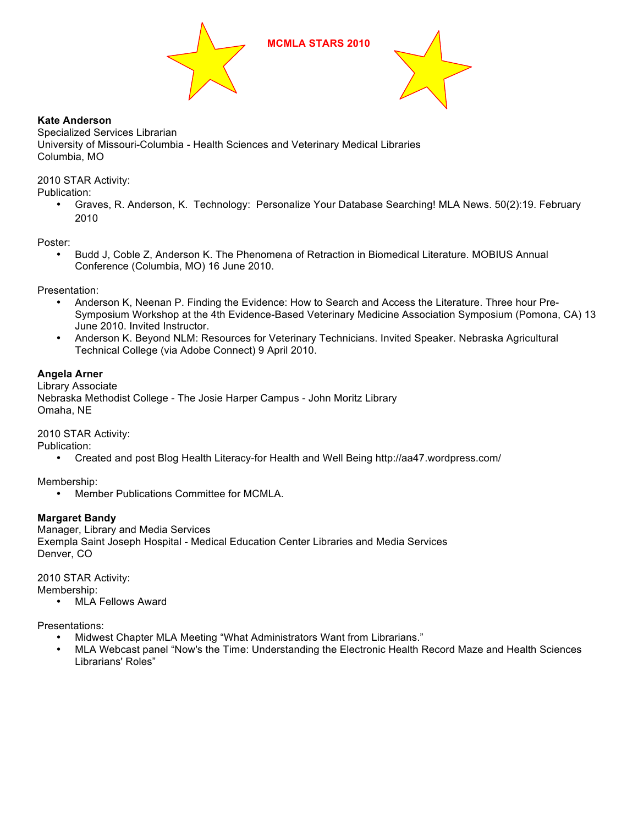



# **Kate Anderson**

Specialized Services Librarian University of Missouri-Columbia - Health Sciences and Veterinary Medical Libraries Columbia, MO

2010 STAR Activity:

Publication:

• Graves, R. Anderson, K. Technology: Personalize Your Database Searching! MLA News. 50(2):19. February 2010

Poster:

• Budd J, Coble Z, Anderson K. The Phenomena of Retraction in Biomedical Literature. MOBIUS Annual Conference (Columbia, MO) 16 June 2010.

Presentation:

- Anderson K, Neenan P. Finding the Evidence: How to Search and Access the Literature. Three hour Pre-Symposium Workshop at the 4th Evidence-Based Veterinary Medicine Association Symposium (Pomona, CA) 13 June 2010. Invited Instructor.
- Anderson K. Beyond NLM: Resources for Veterinary Technicians. Invited Speaker. Nebraska Agricultural Technical College (via Adobe Connect) 9 April 2010.

# **Angela Arner**

Library Associate Nebraska Methodist College - The Josie Harper Campus - John Moritz Library Omaha, NE

2010 STAR Activity:

Publication:

• Created and post Blog Health Literacy-for Health and Well Being http://aa47.wordpress.com/

Membership:

• Member Publications Committee for MCMLA.

# **Margaret Bandy**

Manager, Library and Media Services Exempla Saint Joseph Hospital - Medical Education Center Libraries and Media Services Denver, CO

2010 STAR Activity:

Membership:

• MLA Fellows Award

Presentations:

- Midwest Chapter MLA Meeting "What Administrators Want from Librarians."
- MLA Webcast panel "Now's the Time: Understanding the Electronic Health Record Maze and Health Sciences Librarians' Roles"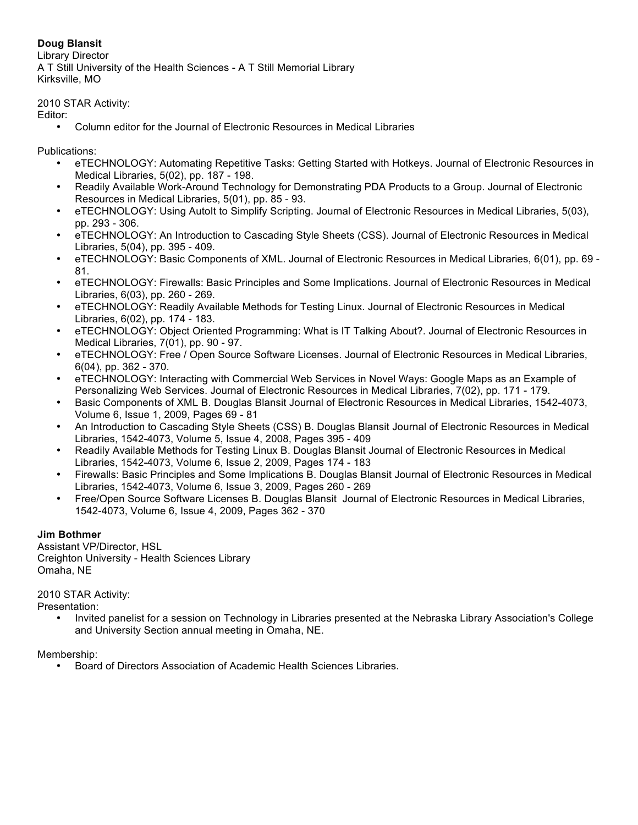# **Doug Blansit**

Library Director A T Still University of the Health Sciences - A T Still Memorial Library Kirksville, MO

2010 STAR Activity:

Editor:

• Column editor for the Journal of Electronic Resources in Medical Libraries

Publications:

- eTECHNOLOGY: Automating Repetitive Tasks: Getting Started with Hotkeys. Journal of Electronic Resources in Medical Libraries, 5(02), pp. 187 - 198.
- Readily Available Work-Around Technology for Demonstrating PDA Products to a Group. Journal of Electronic Resources in Medical Libraries, 5(01), pp. 85 - 93.
- eTECHNOLOGY: Using AutoIt to Simplify Scripting. Journal of Electronic Resources in Medical Libraries, 5(03), pp. 293 - 306.
- eTECHNOLOGY: An Introduction to Cascading Style Sheets (CSS). Journal of Electronic Resources in Medical Libraries, 5(04), pp. 395 - 409.
- eTECHNOLOGY: Basic Components of XML. Journal of Electronic Resources in Medical Libraries, 6(01), pp. 69 81.
- eTECHNOLOGY: Firewalls: Basic Principles and Some Implications. Journal of Electronic Resources in Medical Libraries, 6(03), pp. 260 - 269.
- eTECHNOLOGY: Readily Available Methods for Testing Linux. Journal of Electronic Resources in Medical Libraries, 6(02), pp. 174 - 183.
- eTECHNOLOGY: Object Oriented Programming: What is IT Talking About?. Journal of Electronic Resources in Medical Libraries, 7(01), pp. 90 - 97.
- eTECHNOLOGY: Free / Open Source Software Licenses. Journal of Electronic Resources in Medical Libraries, 6(04), pp. 362 - 370.
- eTECHNOLOGY: Interacting with Commercial Web Services in Novel Ways: Google Maps as an Example of Personalizing Web Services. Journal of Electronic Resources in Medical Libraries, 7(02), pp. 171 - 179.
- Basic Components of XML B. Douglas Blansit Journal of Electronic Resources in Medical Libraries, 1542-4073, Volume 6, Issue 1, 2009, Pages 69 - 81
- An Introduction to Cascading Style Sheets (CSS) B. Douglas Blansit Journal of Electronic Resources in Medical Libraries, 1542-4073, Volume 5, Issue 4, 2008, Pages 395 - 409
- Readily Available Methods for Testing Linux B. Douglas Blansit Journal of Electronic Resources in Medical Libraries, 1542-4073, Volume 6, Issue 2, 2009, Pages 174 - 183
- Firewalls: Basic Principles and Some Implications B. Douglas Blansit Journal of Electronic Resources in Medical Libraries, 1542-4073, Volume 6, Issue 3, 2009, Pages 260 - 269
- Free/Open Source Software Licenses B. Douglas Blansit Journal of Electronic Resources in Medical Libraries, 1542-4073, Volume 6, Issue 4, 2009, Pages 362 - 370

# **Jim Bothmer**

Assistant VP/Director, HSL Creighton University - Health Sciences Library Omaha, NE

# 2010 STAR Activity:

Presentation:

• Invited panelist for a session on Technology in Libraries presented at the Nebraska Library Association's College and University Section annual meeting in Omaha, NE.

Membership:

• Board of Directors Association of Academic Health Sciences Libraries.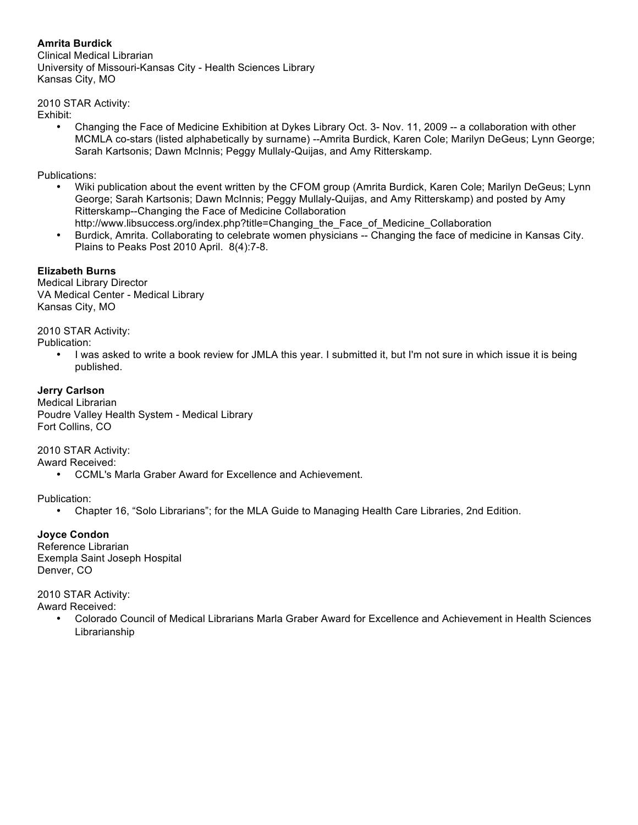# **Amrita Burdick**

Clinical Medical Librarian University of Missouri-Kansas City - Health Sciences Library Kansas City, MO

2010 STAR Activity:

Exhibit:

• Changing the Face of Medicine Exhibition at Dykes Library Oct. 3- Nov. 11, 2009 -- a collaboration with other MCMLA co-stars (listed alphabetically by surname) --Amrita Burdick, Karen Cole; Marilyn DeGeus; Lynn George; Sarah Kartsonis; Dawn McInnis; Peggy Mullaly-Quijas, and Amy Ritterskamp.

Publications:

- Wiki publication about the event written by the CFOM group (Amrita Burdick, Karen Cole; Marilyn DeGeus; Lynn George; Sarah Kartsonis; Dawn McInnis; Peggy Mullaly-Quijas, and Amy Ritterskamp) and posted by Amy Ritterskamp--Changing the Face of Medicine Collaboration http://www.libsuccess.org/index.php?title=Changing\_the\_Face\_of\_Medicine\_Collaboration
- Burdick, Amrita. Collaborating to celebrate women physicians -- Changing the face of medicine in Kansas City. Plains to Peaks Post 2010 April. 8(4):7-8.

# **Elizabeth Burns**

Medical Library Director VA Medical Center - Medical Library Kansas City, MO

2010 STAR Activity:

Publication:

• I was asked to write a book review for JMLA this year. I submitted it, but I'm not sure in which issue it is being published.

# **Jerry Carlson**

Medical Librarian Poudre Valley Health System - Medical Library Fort Collins, CO

2010 STAR Activity:

Award Received:

• CCML's Marla Graber Award for Excellence and Achievement.

Publication:

• Chapter 16, "Solo Librarians"; for the MLA Guide to Managing Health Care Libraries, 2nd Edition.

**Joyce Condon** Reference Librarian Exempla Saint Joseph Hospital Denver, CO

2010 STAR Activity:

Award Received:

• Colorado Council of Medical Librarians Marla Graber Award for Excellence and Achievement in Health Sciences Librarianship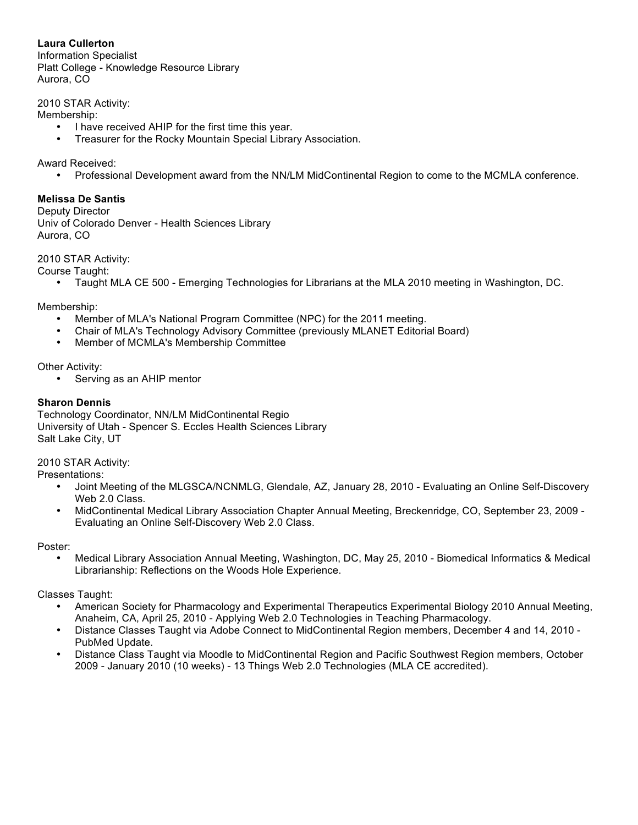**Laura Cullerton** Information Specialist Platt College - Knowledge Resource Library Aurora, CO

2010 STAR Activity:

Membership:

- I have received AHIP for the first time this year.
- Treasurer for the Rocky Mountain Special Library Association.

Award Received:

• Professional Development award from the NN/LM MidContinental Region to come to the MCMLA conference.

#### **Melissa De Santis**

Deputy Director Univ of Colorado Denver - Health Sciences Library Aurora, CO

2010 STAR Activity:

Course Taught:

• Taught MLA CE 500 - Emerging Technologies for Librarians at the MLA 2010 meeting in Washington, DC.

Membership:

- Member of MLA's National Program Committee (NPC) for the 2011 meeting.
- Chair of MLA's Technology Advisory Committee (previously MLANET Editorial Board)
- Member of MCMLA's Membership Committee

Other Activity:

• Serving as an AHIP mentor

### **Sharon Dennis**

Technology Coordinator, NN/LM MidContinental Regio University of Utah - Spencer S. Eccles Health Sciences Library Salt Lake City, UT

2010 STAR Activity:

Presentations:

- Joint Meeting of the MLGSCA/NCNMLG, Glendale, AZ, January 28, 2010 Evaluating an Online Self-Discovery Web 2.0 Class.
- MidContinental Medical Library Association Chapter Annual Meeting, Breckenridge, CO, September 23, 2009 Evaluating an Online Self-Discovery Web 2.0 Class.

Poster:

• Medical Library Association Annual Meeting, Washington, DC, May 25, 2010 - Biomedical Informatics & Medical Librarianship: Reflections on the Woods Hole Experience.

Classes Taught:

- American Society for Pharmacology and Experimental Therapeutics Experimental Biology 2010 Annual Meeting, Anaheim, CA, April 25, 2010 - Applying Web 2.0 Technologies in Teaching Pharmacology.
- Distance Classes Taught via Adobe Connect to MidContinental Region members, December 4 and 14, 2010 PubMed Update.
- Distance Class Taught via Moodle to MidContinental Region and Pacific Southwest Region members, October 2009 - January 2010 (10 weeks) - 13 Things Web 2.0 Technologies (MLA CE accredited).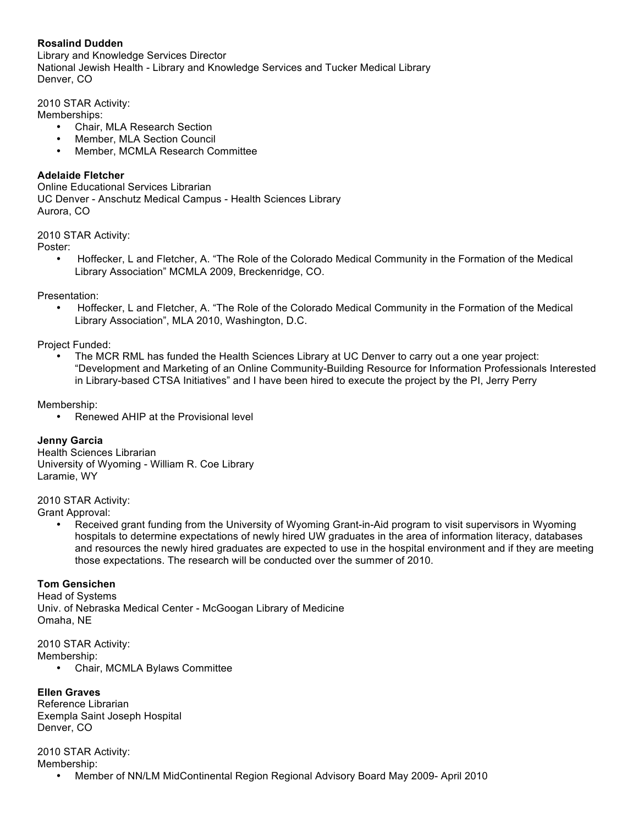# **Rosalind Dudden**

Library and Knowledge Services Director National Jewish Health - Library and Knowledge Services and Tucker Medical Library Denver, CO

2010 STAR Activity:

Memberships:

- Chair, MLA Research Section
- Member, MLA Section Council
- Member, MCMLA Research Committee

### **Adelaide Fletcher**

Online Educational Services Librarian UC Denver - Anschutz Medical Campus - Health Sciences Library Aurora, CO

2010 STAR Activity:

Poster:

• Hoffecker, L and Fletcher, A. "The Role of the Colorado Medical Community in the Formation of the Medical Library Association" MCMLA 2009, Breckenridge, CO.

Presentation:

• Hoffecker, L and Fletcher, A. "The Role of the Colorado Medical Community in the Formation of the Medical Library Association", MLA 2010, Washington, D.C.

Project Funded:

• The MCR RML has funded the Health Sciences Library at UC Denver to carry out a one year project: "Development and Marketing of an Online Community-Building Resource for Information Professionals Interested in Library-based CTSA Initiatives" and I have been hired to execute the project by the PI, Jerry Perry

Membership:

• Renewed AHIP at the Provisional level

#### **Jenny Garcia**

Health Sciences Librarian University of Wyoming - William R. Coe Library Laramie, WY

2010 STAR Activity:

Grant Approval:

• Received grant funding from the University of Wyoming Grant-in-Aid program to visit supervisors in Wyoming hospitals to determine expectations of newly hired UW graduates in the area of information literacy, databases and resources the newly hired graduates are expected to use in the hospital environment and if they are meeting those expectations. The research will be conducted over the summer of 2010.

#### **Tom Gensichen**

Head of Systems Univ. of Nebraska Medical Center - McGoogan Library of Medicine Omaha, NE

2010 STAR Activity:

Membership:

• Chair, MCMLA Bylaws Committee

**Ellen Graves**

Reference Librarian Exempla Saint Joseph Hospital Denver, CO

2010 STAR Activity: Membership:

• Member of NN/LM MidContinental Region Regional Advisory Board May 2009- April 2010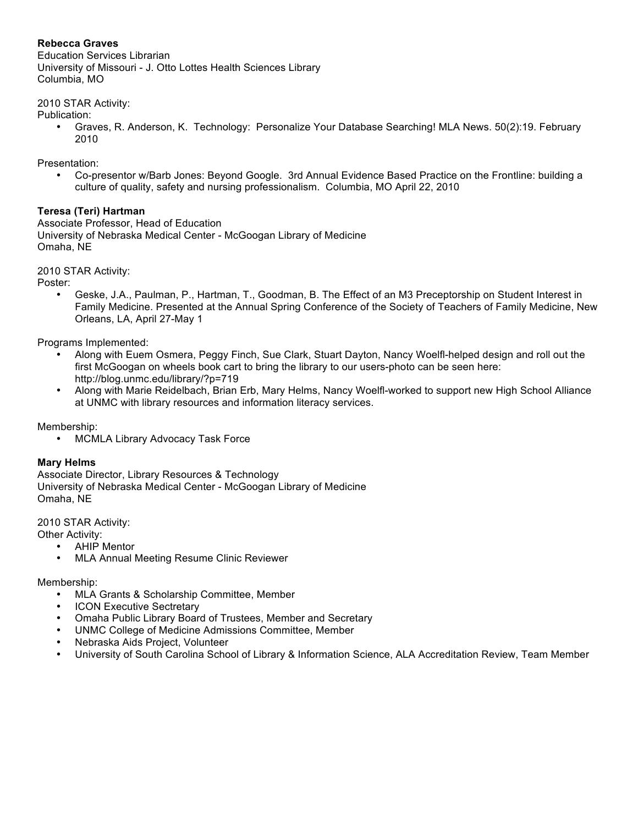# **Rebecca Graves**

Education Services Librarian University of Missouri - J. Otto Lottes Health Sciences Library Columbia, MO

2010 STAR Activity:

- Publication:
	- Graves, R. Anderson, K. Technology: Personalize Your Database Searching! MLA News. 50(2):19. February 2010

Presentation:

• Co-presentor w/Barb Jones: Beyond Google. 3rd Annual Evidence Based Practice on the Frontline: building a culture of quality, safety and nursing professionalism. Columbia, MO April 22, 2010

# **Teresa (Teri) Hartman**

Associate Professor, Head of Education University of Nebraska Medical Center - McGoogan Library of Medicine Omaha, NE

2010 STAR Activity:

Poster:

• Geske, J.A., Paulman, P., Hartman, T., Goodman, B. The Effect of an M3 Preceptorship on Student Interest in Family Medicine. Presented at the Annual Spring Conference of the Society of Teachers of Family Medicine, New Orleans, LA, April 27-May 1

Programs Implemented:

- Along with Euem Osmera, Peggy Finch, Sue Clark, Stuart Dayton, Nancy Woelfl-helped design and roll out the first McGoogan on wheels book cart to bring the library to our users-photo can be seen here: http://blog.unmc.edu/library/?p=719
- Along with Marie Reidelbach, Brian Erb, Mary Helms, Nancy Woelfl-worked to support new High School Alliance at UNMC with library resources and information literacy services.

Membership:

• MCMLA Library Advocacy Task Force

# **Mary Helms**

Associate Director, Library Resources & Technology University of Nebraska Medical Center - McGoogan Library of Medicine Omaha, NE

2010 STAR Activity:

Other Activity:

- AHIP Mentor
- MLA Annual Meeting Resume Clinic Reviewer

#### Membership:

- MLA Grants & Scholarship Committee, Member
- **ICON Executive Sectretary**
- Omaha Public Library Board of Trustees, Member and Secretary
- UNMC College of Medicine Admissions Committee, Member
- Nebraska Aids Project, Volunteer
- University of South Carolina School of Library & Information Science, ALA Accreditation Review, Team Member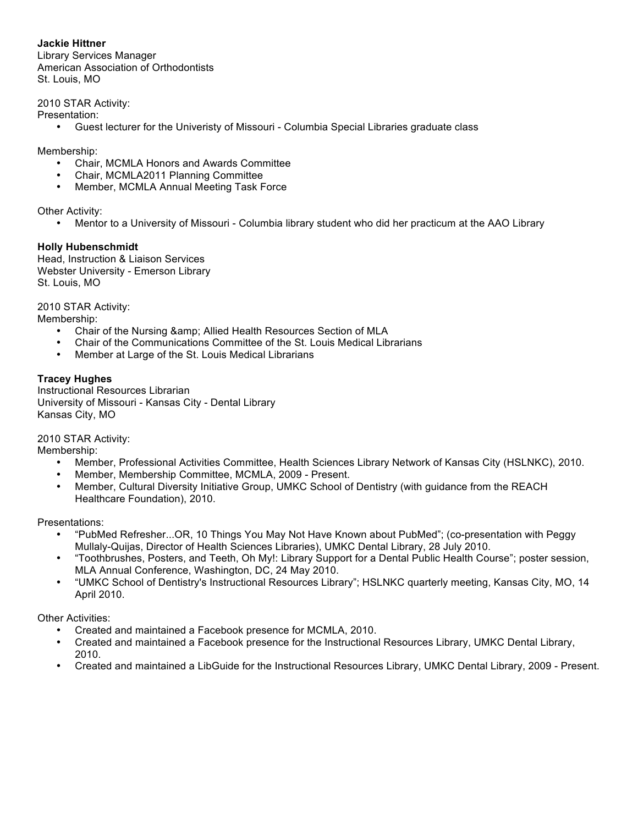**Jackie Hittner** Library Services Manager American Association of Orthodontists St. Louis, MO

2010 STAR Activity:

Presentation:

• Guest lecturer for the Univeristy of Missouri - Columbia Special Libraries graduate class

Membership:

- Chair, MCMLA Honors and Awards Committee
- Chair, MCMLA2011 Planning Committee
- Member, MCMLA Annual Meeting Task Force

Other Activity:

• Mentor to a University of Missouri - Columbia library student who did her practicum at the AAO Library

# **Holly Hubenschmidt**

Head, Instruction & Liaison Services Webster University - Emerson Library St. Louis, MO

2010 STAR Activity:

Membership:

- Chair of the Nursing & amp; Allied Health Resources Section of MLA<br>• Chair of the Communications Committee of the St. Louis Medical Lib
- Chair of the Communications Committee of the St. Louis Medical Librarians
- Member at Large of the St. Louis Medical Librarians

# **Tracey Hughes**

Instructional Resources Librarian University of Missouri - Kansas City - Dental Library Kansas City, MO

2010 STAR Activity:

Membership:

- Member, Professional Activities Committee, Health Sciences Library Network of Kansas City (HSLNKC), 2010.
- Member, Membership Committee, MCMLA, 2009 Present.
- Member, Cultural Diversity Initiative Group, UMKC School of Dentistry (with guidance from the REACH Healthcare Foundation), 2010.

Presentations:

- "PubMed Refresher...OR, 10 Things You May Not Have Known about PubMed"; (co-presentation with Peggy Mullaly-Quijas, Director of Health Sciences Libraries), UMKC Dental Library, 28 July 2010.
- "Toothbrushes, Posters, and Teeth, Oh My!: Library Support for a Dental Public Health Course"; poster session, MLA Annual Conference, Washington, DC, 24 May 2010.
- "UMKC School of Dentistry's Instructional Resources Library"; HSLNKC quarterly meeting, Kansas City, MO, 14 April 2010.

Other Activities:

- Created and maintained a Facebook presence for MCMLA, 2010.
- Created and maintained a Facebook presence for the Instructional Resources Library, UMKC Dental Library, 2010.
- Created and maintained a LibGuide for the Instructional Resources Library, UMKC Dental Library, 2009 Present.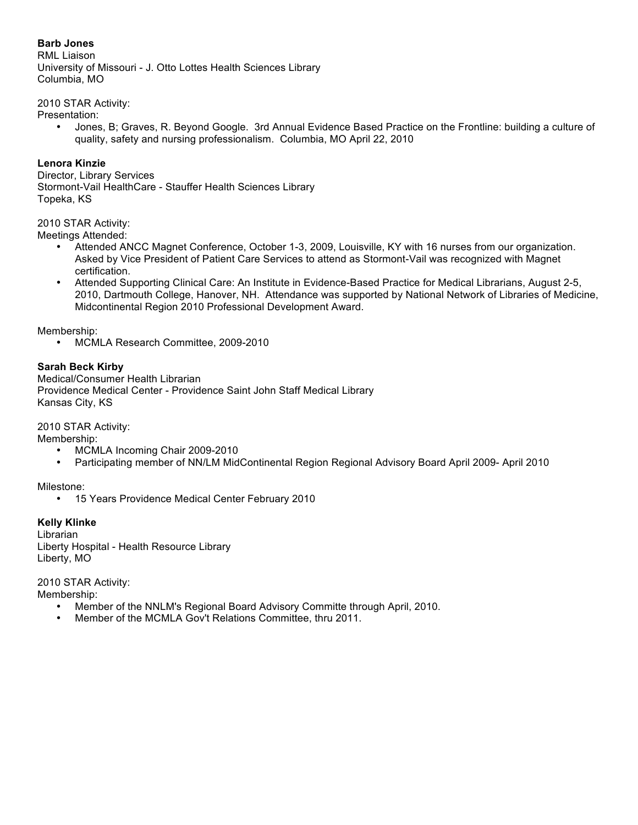# **Barb Jones**

RML Liaison University of Missouri - J. Otto Lottes Health Sciences Library Columbia, MO

2010 STAR Activity:

Presentation:

• Jones, B; Graves, R. Beyond Google. 3rd Annual Evidence Based Practice on the Frontline: building a culture of quality, safety and nursing professionalism. Columbia, MO April 22, 2010

### **Lenora Kinzie**

Director, Library Services Stormont-Vail HealthCare - Stauffer Health Sciences Library Topeka, KS

# 2010 STAR Activity:

Meetings Attended:

- Attended ANCC Magnet Conference, October 1-3, 2009, Louisville, KY with 16 nurses from our organization. Asked by Vice President of Patient Care Services to attend as Stormont-Vail was recognized with Magnet certification.
- Attended Supporting Clinical Care: An Institute in Evidence-Based Practice for Medical Librarians, August 2-5, 2010, Dartmouth College, Hanover, NH. Attendance was supported by National Network of Libraries of Medicine, Midcontinental Region 2010 Professional Development Award.

Membership:

• MCMLA Research Committee, 2009-2010

# **Sarah Beck Kirby**

Medical/Consumer Health Librarian Providence Medical Center - Providence Saint John Staff Medical Library Kansas City, KS

2010 STAR Activity:

Membership:

- MCMLA Incoming Chair 2009-2010
- Participating member of NN/LM MidContinental Region Regional Advisory Board April 2009- April 2010

Milestone:

• 15 Years Providence Medical Center February 2010

#### **Kelly Klinke**

Librarian Liberty Hospital - Health Resource Library Liberty, MO

2010 STAR Activity: Membership:

- Member of the NNLM's Regional Board Advisory Committe through April, 2010.
- Member of the MCMLA Gov't Relations Committee, thru 2011.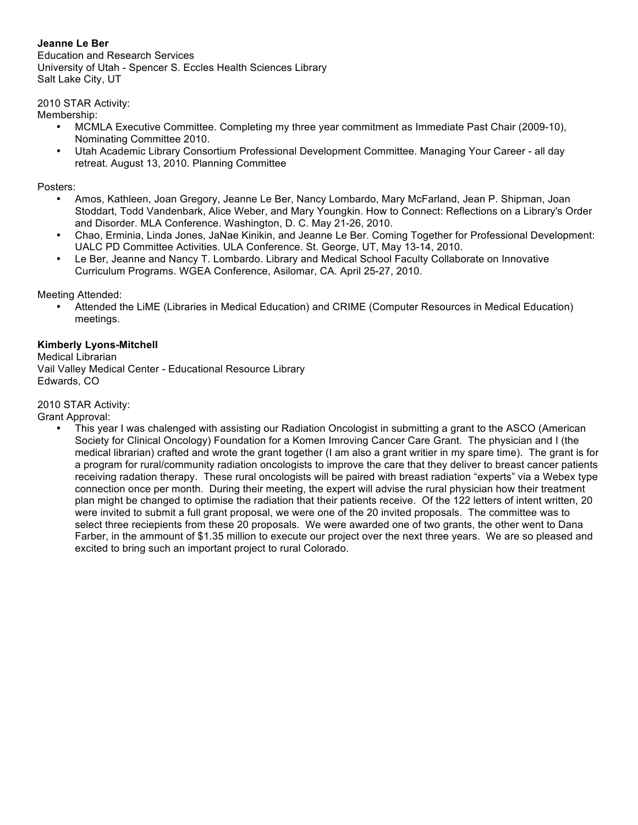# **Jeanne Le Ber**

Education and Research Services University of Utah - Spencer S. Eccles Health Sciences Library Salt Lake City, UT

2010 STAR Activity:

Membership:

- MCMLA Executive Committee. Completing my three year commitment as Immediate Past Chair (2009-10), Nominating Committee 2010.
- Utah Academic Library Consortium Professional Development Committee. Managing Your Career all day retreat. August 13, 2010. Planning Committee

Posters:

- Amos, Kathleen, Joan Gregory, Jeanne Le Ber, Nancy Lombardo, Mary McFarland, Jean P. Shipman, Joan Stoddart, Todd Vandenbark, Alice Weber, and Mary Youngkin. How to Connect: Reflections on a Library's Order and Disorder. MLA Conference. Washington, D. C. May 21-26, 2010.
- Chao, Erminia, Linda Jones, JaNae Kinikin, and Jeanne Le Ber. Coming Together for Professional Development: UALC PD Committee Activities. ULA Conference. St. George, UT, May 13-14, 2010.
- Le Ber, Jeanne and Nancy T. Lombardo. Library and Medical School Faculty Collaborate on Innovative Curriculum Programs. WGEA Conference, Asilomar, CA. April 25-27, 2010.

Meeting Attended:

• Attended the LiME (Libraries in Medical Education) and CRIME (Computer Resources in Medical Education) meetings.

### **Kimberly Lyons-Mitchell**

Medical Librarian Vail Valley Medical Center - Educational Resource Library

Edwards, CO

2010 STAR Activity:

Grant Approval:

• This year I was chalenged with assisting our Radiation Oncologist in submitting a grant to the ASCO (American Society for Clinical Oncology) Foundation for a Komen Imroving Cancer Care Grant. The physician and I (the medical librarian) crafted and wrote the grant together (I am also a grant writier in my spare time). The grant is for a program for rural/community radiation oncologists to improve the care that they deliver to breast cancer patients receiving radation therapy. These rural oncologists will be paired with breast radiation "experts" via a Webex type connection once per month. During their meeting, the expert will advise the rural physician how their treatment plan might be changed to optimise the radiation that their patients receive. Of the 122 letters of intent written, 20 were invited to submit a full grant proposal, we were one of the 20 invited proposals. The committee was to select three reciepients from these 20 proposals. We were awarded one of two grants, the other went to Dana Farber, in the ammount of \$1.35 million to execute our project over the next three years. We are so pleased and excited to bring such an important project to rural Colorado.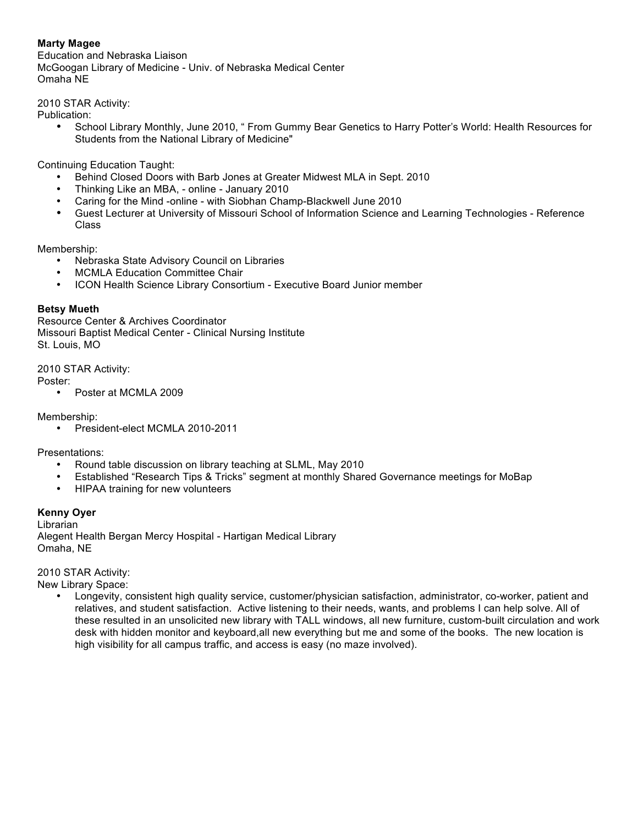# **Marty Magee**

Education and Nebraska Liaison McGoogan Library of Medicine - Univ. of Nebraska Medical Center Omaha NE

2010 STAR Activity:

Publication:

• School Library Monthly, June 2010, " From Gummy Bear Genetics to Harry Potter's World: Health Resources for Students from the National Library of Medicine"

Continuing Education Taught:

- Behind Closed Doors with Barb Jones at Greater Midwest MLA in Sept. 2010
- Thinking Like an MBA, online January 2010
- Caring for the Mind -online with Siobhan Champ-Blackwell June 2010
- Guest Lecturer at University of Missouri School of Information Science and Learning Technologies Reference Class

Membership:

- Nebraska State Advisory Council on Libraries
- MCMLA Education Committee Chair
- ICON Health Science Library Consortium Executive Board Junior member

### **Betsy Mueth**

Resource Center & Archives Coordinator Missouri Baptist Medical Center - Clinical Nursing Institute St. Louis, MO

2010 STAR Activity:

Poster:

• Poster at MCMLA 2009

Membership:

• President-elect MCMLA 2010-2011

Presentations:

- Round table discussion on library teaching at SLML, May 2010
- Established "Research Tips & Tricks" segment at monthly Shared Governance meetings for MoBap
- HIPAA training for new volunteers

#### **Kenny Oyer**

Librarian Alegent Health Bergan Mercy Hospital - Hartigan Medical Library Omaha, NE

2010 STAR Activity:

New Library Space:

• Longevity, consistent high quality service, customer/physician satisfaction, administrator, co-worker, patient and relatives, and student satisfaction. Active listening to their needs, wants, and problems I can help solve. All of these resulted in an unsolicited new library with TALL windows, all new furniture, custom-built circulation and work desk with hidden monitor and keyboard,all new everything but me and some of the books. The new location is high visibility for all campus traffic, and access is easy (no maze involved).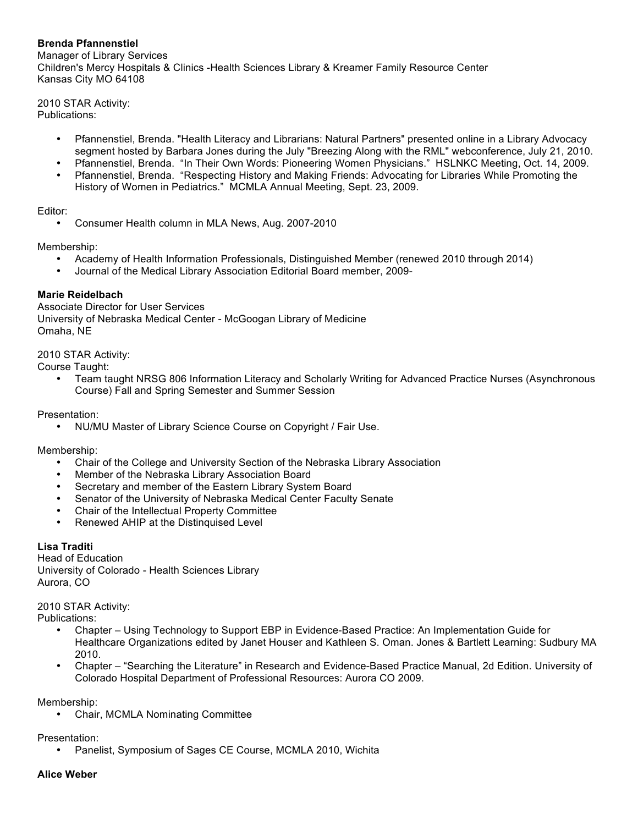# **Brenda Pfannenstiel**

Manager of Library Services Children's Mercy Hospitals & Clinics -Health Sciences Library & Kreamer Family Resource Center Kansas City MO 64108

2010 STAR Activity: Publications:

- Pfannenstiel, Brenda. "Health Literacy and Librarians: Natural Partners" presented online in a Library Advocacy segment hosted by Barbara Jones during the July "Breezing Along with the RML" webconference, July 21, 2010.
- Pfannenstiel, Brenda. "In Their Own Words: Pioneering Women Physicians." HSLNKC Meeting, Oct. 14, 2009. • Pfannenstiel, Brenda. "Respecting History and Making Friends: Advocating for Libraries While Promoting the
- History of Women in Pediatrics." MCMLA Annual Meeting, Sept. 23, 2009.

### Editor:

• Consumer Health column in MLA News, Aug. 2007-2010

Membership:

- Academy of Health Information Professionals, Distinguished Member (renewed 2010 through 2014)
- Journal of the Medical Library Association Editorial Board member, 2009-

# **Marie Reidelbach**

Associate Director for User Services University of Nebraska Medical Center - McGoogan Library of Medicine Omaha, NE

### 2010 STAR Activity:

Course Taught:

• Team taught NRSG 806 Information Literacy and Scholarly Writing for Advanced Practice Nurses (Asynchronous Course) Fall and Spring Semester and Summer Session

Presentation:

• NU/MU Master of Library Science Course on Copyright / Fair Use.

Membership:

- Chair of the College and University Section of the Nebraska Library Association
- Member of the Nebraska Library Association Board
- Secretary and member of the Eastern Library System Board
- Senator of the University of Nebraska Medical Center Faculty Senate
- Chair of the Intellectual Property Committee
- Renewed AHIP at the Distinquised Level

# **Lisa Traditi**

Head of Education University of Colorado - Health Sciences Library Aurora, CO

2010 STAR Activity:

Publications:

- Chapter Using Technology to Support EBP in Evidence-Based Practice: An Implementation Guide for Healthcare Organizations edited by Janet Houser and Kathleen S. Oman. Jones & Bartlett Learning: Sudbury MA 2010.
- Chapter "Searching the Literature" in Research and Evidence-Based Practice Manual, 2d Edition. University of Colorado Hospital Department of Professional Resources: Aurora CO 2009.

Membership:

• Chair, MCMLA Nominating Committee

Presentation:

• Panelist, Symposium of Sages CE Course, MCMLA 2010, Wichita

#### **Alice Weber**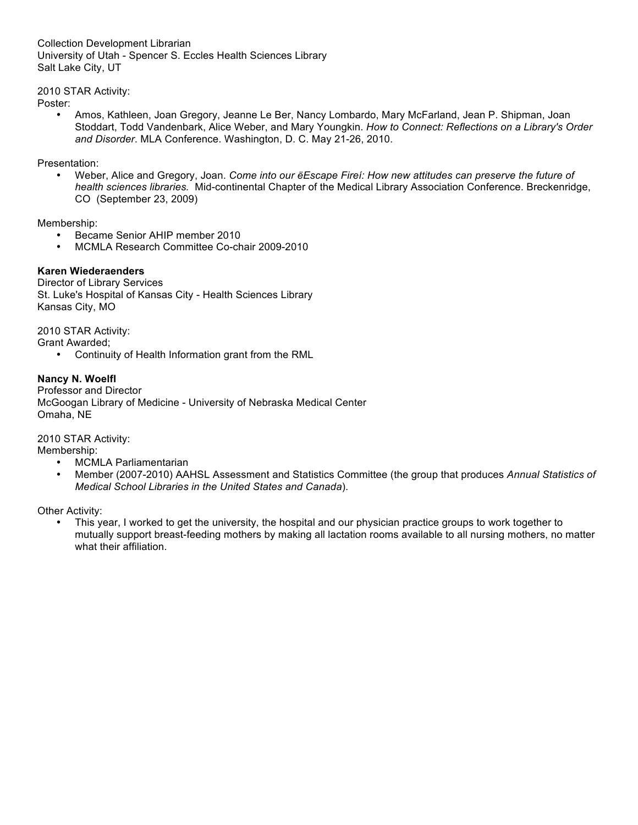Collection Development Librarian University of Utah - Spencer S. Eccles Health Sciences Library Salt Lake City, UT

2010 STAR Activity:

Poster:

• Amos, Kathleen, Joan Gregory, Jeanne Le Ber, Nancy Lombardo, Mary McFarland, Jean P. Shipman, Joan Stoddart, Todd Vandenbark, Alice Weber, and Mary Youngkin. *How to Connect: Reflections on a Library's Order and Disorder*. MLA Conference. Washington, D. C. May 21-26, 2010.

Presentation:

• Weber, Alice and Gregory, Joan. *Come into our ëEscape Fireí: How new attitudes can preserve the future of health sciences libraries.* Mid-continental Chapter of the Medical Library Association Conference. Breckenridge, CO (September 23, 2009)

Membership:

- Became Senior AHIP member 2010
- MCMLA Research Committee Co-chair 2009-2010

# **Karen Wiederaenders**

Director of Library Services St. Luke's Hospital of Kansas City - Health Sciences Library Kansas City, MO

2010 STAR Activity:

Grant Awarded;

• Continuity of Health Information grant from the RML

# **Nancy N. Woelfl**

Professor and Director McGoogan Library of Medicine - University of Nebraska Medical Center Omaha, NE

2010 STAR Activity:

Membership:

- MCMLA Parliamentarian<br>• Member (2007-2010) AA
- Member (2007-2010) AAHSL Assessment and Statistics Committee (the group that produces *Annual Statistics of Medical School Libraries in the United States and Canada*).

Other Activity:

• This year, I worked to get the university, the hospital and our physician practice groups to work together to mutually support breast-feeding mothers by making all lactation rooms available to all nursing mothers, no matter what their affiliation.